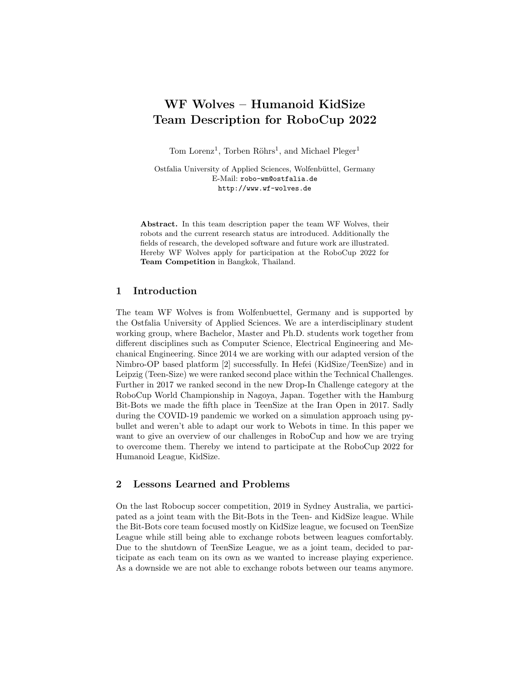# WF Wolves – Humanoid KidSize Team Description for RoboCup 2022

Tom Lorenz<sup>1</sup>, Torben Röhrs<sup>1</sup>, and Michael Pleger<sup>1</sup>

Ostfalia University of Applied Sciences, Wolfenbüttel, Germany E-Mail: robo-wm@ostfalia.de http://www.wf-wolves.de

Abstract. In this team description paper the team WF Wolves, their robots and the current research status are introduced. Additionally the fields of research, the developed software and future work are illustrated. Hereby WF Wolves apply for participation at the RoboCup 2022 for Team Competition in Bangkok, Thailand.

## 1 Introduction

The team WF Wolves is from Wolfenbuettel, Germany and is supported by the Ostfalia University of Applied Sciences. We are a interdisciplinary student working group, where Bachelor, Master and Ph.D. students work together from different disciplines such as Computer Science, Electrical Engineering and Mechanical Engineering. Since 2014 we are working with our adapted version of the Nimbro-OP based platform [2] successfully. In Hefei (KidSize/TeenSize) and in Leipzig (Teen-Size) we were ranked second place within the Technical Challenges. Further in 2017 we ranked second in the new Drop-In Challenge category at the RoboCup World Championship in Nagoya, Japan. Together with the Hamburg Bit-Bots we made the fifth place in TeenSize at the Iran Open in 2017. Sadly during the COVID-19 pandemic we worked on a simulation approach using pybullet and weren't able to adapt our work to Webots in time. In this paper we want to give an overview of our challenges in RoboCup and how we are trying to overcome them. Thereby we intend to participate at the RoboCup 2022 for Humanoid League, KidSize.

#### 2 Lessons Learned and Problems

On the last Robocup soccer competition, 2019 in Sydney Australia, we participated as a joint team with the Bit-Bots in the Teen- and KidSize league. While the Bit-Bots core team focused mostly on KidSize league, we focused on TeenSize League while still being able to exchange robots between leagues comfortably. Due to the shutdown of TeenSize League, we as a joint team, decided to participate as each team on its own as we wanted to increase playing experience. As a downside we are not able to exchange robots between our teams anymore.